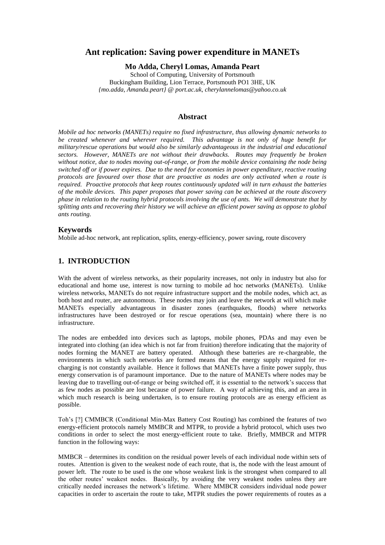# **Ant replication: Saving power expenditure in MANETs**

**Mo Adda, Cheryl Lomas, Amanda Peart**

School of Computing, University of Portsmouth Buckingham Building, Lion Terrace, Portsmouth PO1 3HE, UK *{mo.adda, Amanda.peart} @ port.ac.uk, cherylannelomas@yahoo.co.uk*

#### **Abstract**

*Mobile ad hoc networks (MANETs) require no fixed infrastructure, thus allowing dynamic networks to be created whenever and wherever required. This advantage is not only of huge benefit for military/rescue operations but would also be similarly advantageous in the industrial and educational sectors. However, MANETs are not without their drawbacks. Routes may frequently be broken without notice, due to nodes moving out-of-range, or from the mobile device containing the node being switched off or if power expires. Due to the need for economies in power expenditure, reactive routing protocols are favoured over those that are proactive as nodes are only activated when a route is required. Proactive protocols that keep routes continuously updated will in turn exhaust the batteries of the mobile devices. This paper proposes that power saving can be achieved at the route discovery phase in relation to the routing hybrid protocols involving the use of ants. We will demonstrate that by splitting ants and recovering their history we will achieve an efficient power saving as oppose to global ants routing.*

### **Keywords**

Mobile ad-hoc network, ant replication, splits, energy-efficiency, power saving, route discovery

### **1. INTRODUCTION**

With the advent of wireless networks, as their popularity increases, not only in industry but also for educational and home use, interest is now turning to mobile ad hoc networks (MANETs). Unlike wireless networks, MANETs do not require infrastructure support and the mobile nodes, which act, as both host and router, are autonomous. These nodes may join and leave the network at will which make MANETs especially advantageous in disaster zones (earthquakes, floods) where networks infrastructures have been destroyed or for rescue operations (sea, mountain) where there is no infrastructure.

The nodes are embedded into devices such as laptops, mobile phones, PDAs and may even be integrated into clothing (an idea which is not far from fruition) therefore indicating that the majority of nodes forming the MANET are battery operated. Although these batteries are re-chargeable, the environments in which such networks are formed means that the energy supply required for recharging is not constantly available. Hence it follows that MANETs have a finite power supply, thus energy conservation is of paramount importance. Due to the nature of MANETs where nodes may be leaving due to travelling out-of-range or being switched off, it is essential to the network's success that as few nodes as possible are lost because of power failure. A way of achieving this, and an area in which much research is being undertaken, is to ensure routing protocols are as energy efficient as possible.

Toh's [?] CMMBCR (Conditional Min-Max Battery Cost Routing) has combined the features of two energy-efficient protocols namely MMBCR and MTPR, to provide a hybrid protocol, which uses two conditions in order to select the most energy-efficient route to take. Briefly, MMBCR and MTPR function in the following ways:

MMBCR – determines its condition on the residual power levels of each individual node within sets of routes. Attention is given to the weakest node of each route, that is, the node with the least amount of power left. The route to be used is the one whose weakest link is the strongest when compared to all the other routes' weakest nodes. Basically, by avoiding the very weakest nodes unless they are critically needed increases the network's lifetime. Where MMBCR considers individual node power capacities in order to ascertain the route to take, MTPR studies the power requirements of routes as a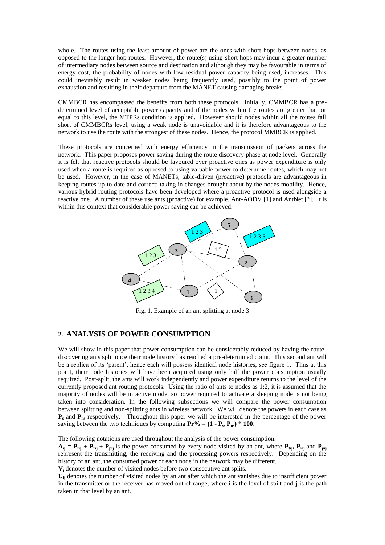whole. The routes using the least amount of power are the ones with short hops between nodes, as opposed to the longer hop routes. However, the route(s) using short hops may incur a greater number of intermediary nodes between source and destination and although they may be favourable in terms of energy cost, the probability of nodes with low residual power capacity being used, increases. This could inevitably result in weaker nodes being frequently used, possibly to the point of power exhaustion and resulting in their departure from the MANET causing damaging breaks.

CMMBCR has encompassed the benefits from both these protocols. Initially, CMMBCR has a predetermined level of acceptable power capacity and if the nodes within the routes are greater than or equal to this level, the MTPRs condition is applied. However should nodes within all the routes fall short of CMMBCRs level, using a weak node is unavoidable and it is therefore advantageous to the network to use the route with the strongest of these nodes. Hence, the protocol MMBCR is applied.

These protocols are concerned with energy efficiency in the transmission of packets across the network. This paper proposes power saving during the route discovery phase at node level. Generally it is felt that reactive protocols should be favoured over proactive ones as power expenditure is only used when a route is required as opposed to using valuable power to determine routes, which may not be used. However, in the case of MANETs, table-driven (proactive) protocols are advantageous in keeping routes up-to-date and correct; taking in changes brought about by the nodes mobility. Hence, various hybrid routing protocols have been developed where a proactive protocol is used alongside a reactive one. A number of these use ants (proactive) for example, Ant-AODV [1] and AntNet [?]. It is within this context that considerable power saving can be achieved.



Fig. 1. Example of an ant splitting at node 3

#### **2. ANALYSIS OF POWER CONSUMPTION**

We will show in this paper that power consumption can be considerably reduced by having the routediscovering ants split once their node history has reached a pre-determined count. This second ant will be a replica of its 'parent', hence each will possess identical node histories, see figure 1. Thus at this point, their node histories will have been acquired using only half the power consumption usually required. Post-split, the ants will work independently and power expenditure returns to the level of the currently proposed ant routing protocols. Using the ratio of ants to nodes as 1:2, it is assumed that the majority of nodes will be in active mode, so power required to activate a sleeping node is not being taken into consideration. In the following subsections we will compare the power consumption between splitting and non-splitting ants in wireless network. We will denote the powers in each case as  $\mathbf{P}_s$  and  $\mathbf{P}_{\text{ns}}$  respectively. Throughout this paper we will be interested in the percentage of the power saving between the two techniques by computing  $\mathbf{Pr}$ % = (1 -  $\mathbf{P}_{\rm s}$ / $\mathbf{P}_{\rm ns}$ ) \* 100.

The following notations are used throughout the analysis of the power consumption.

 $A_{ii} = P_{tii} + P_{rii} + P_{pii}$  is the power consumed by every node visited by an ant, where  $P_{tii}$ ,  $P_{rii}$  and  $P_{pii}$ represent the transmitting, the receiving and the processing powers respectively. Depending on the history of an ant, the consumed power of each node in the network may be different.

**V<sup>i</sup>** denotes the number of visited nodes before two consecutive ant splits.

**Uij** denotes the number of visited nodes by an ant after which the ant vanishes due to insufficient power in the transmitter or the receiver has moved out of range, where **i** is the level of spilt and **j** is the path taken in that level by an ant.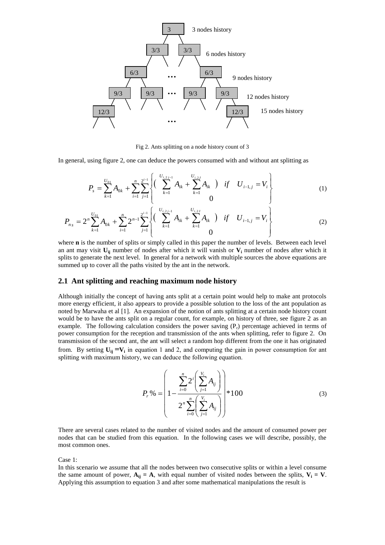

Fig 2. Ants splitting on a node history count of 3

In general, using figure 2, one can deduce the powers consumed with and without ant splitting as

$$
P_{s} = \sum_{k=1}^{U_{01}} A_{0k} + \sum_{i=1}^{n} \sum_{j=1}^{2^{i-1}} \left\{ \left( \sum_{k=1}^{U_{i,2j-1}} A_{ik} + \sum_{k=1}^{U_{i,2j}} A_{ik} \right) \text{ if } U_{i-1,j} = V_{i} \right\}
$$
(1)

$$
P_{n_s} = 2^n \sum_{k=1}^{U_{01}} A_{0k} + \sum_{i=1}^n 2^{n-1} \sum_{j=1}^{2^{i-1}} \left\{ \left( \sum_{k=1}^{U_{i,2j-1}} A_{ik} + \sum_{k=1}^{U_{i,2j}} A_{ik} \right) \text{ if } U_{i-1,j} = V_i \right\}
$$
(2)

where **n** is the number of splits or simply called in this paper the number of levels. Between each level an ant may visit  $U_{ii}$  number of nodes after which it will vanish or  $V_i$  number of nodes after which it splits to generate the next level. In general for a network with multiple sources the above equations are summed up to cover all the paths visited by the ant in the network.

#### **2.1 Ant splitting and reaching maximum node history**

Although initially the concept of having ants split at a certain point would help to make ant protocols more energy efficient, it also appears to provide a possible solution to the loss of the ant population as noted by Marwaha et al [1]. An expansion of the notion of ants splitting at a certain node history count would be to have the ants split on a regular count, for example, on history of three, see figure 2 as an example. The following calculation considers the power saving  $(P<sub>r</sub>)$  percentage achieved in terms of power consumption for the reception and transmission of the ants when splitting, refer to figure 2. On transmission of the second ant, the ant will select a random hop different from the one it has originated from. By setting  $U_{ij} = V_i$  in equation 1 and 2, and computing the gain in power consumption for ant splitting with maximum history, we can deduce the following equation.

$$
P_r\% = \left(1 - \frac{\sum_{i=0}^{n} 2^i \left(\sum_{j=1}^{V_i} A_{ij}\right)}{2^n \sum_{i=0}^{n} \left(\sum_{j=1}^{V_i} A_{ij}\right)}\right) * 100
$$
\n(3)

There are several cases related to the number of visited nodes and the amount of consumed power per nodes that can be studied from this equation. In the following cases we will describe, possibly, the most common ones.

Case 1:

In this scenario we assume that all the nodes between two consecutive splits or within a level consume the same amount of power,  $A_{ij} = A$ , with equal number of visited nodes between the splits,  $V_i = V$ . Applying this assumption to equation 3 and after some mathematical manipulations the result is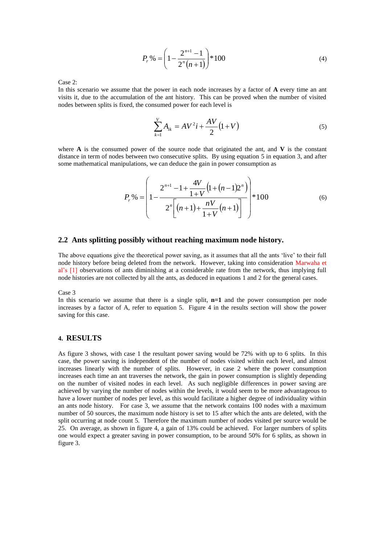$$
P_r\% = \left(1 - \frac{2^{n+1} - 1}{2^n(n+1)}\right) * 100\tag{4}
$$

Case 2:

In this scenario we assume that the power in each node increases by a factor of **A** every time an ant visits it, due to the accumulation of the ant history. This can be proved when the number of visited nodes between splits is fixed, the consumed power for each level is

$$
\sum_{k=1}^{V} A_{ik} = AV^2 i + \frac{AV}{2} (1 + V)
$$
 (5)

where  $\bf{A}$  is the consumed power of the source node that originated the ant, and  $\bf{V}$  is the constant distance in term of nodes between two consecutive splits. By using equation 5 in equation 3, and after some mathematical manipulations, we can deduce the gain in power consumption as

$$
P_r\% = \left(1 - \frac{2^{n+1} - 1 + \frac{4V}{1+V}\left(1 + (n-1)2^n\right)}{2^n\left[(n+1) + \frac{nV}{1+V}(n+1)\right]}\right) * 100\tag{6}
$$

### **2.2 Ants splitting possibly without reaching maximum node history.**

The above equations give the theoretical power saving, as it assumes that all the ants 'live' to their full node history before being deleted from the network. However, taking into consideration Marwaha et al's [1] observations of ants diminishing at a considerable rate from the network, thus implying full node histories are not collected by all the ants, as deduced in equations 1 and 2 for the general cases.

Case 3

In this scenario we assume that there is a single split, **n=1** and the power consumption per node increases by a factor of A, refer to equation 5. Figure 4 in the results section will show the power saving for this case.

#### **4. RESULTS**

As figure 3 shows, with case 1 the resultant power saving would be 72% with up to 6 splits. In this case, the power saving is independent of the number of nodes visited within each level, and almost increases linearly with the number of splits. However, in case 2 where the power consumption increases each time an ant traverses the network, the gain in power consumption is slightly depending on the number of visited nodes in each level. As such negligible differences in power saving are achieved by varying the number of nodes within the levels, it would seem to be more advantageous to have a lower number of nodes per level, as this would facilitate a higher degree of individuality within an ants node history. For case 3, we assume that the network contains 100 nodes with a maximum number of 50 sources, the maximum node history is set to 15 after which the ants are deleted, with the split occurring at node count 5. Therefore the maximum number of nodes visited per source would be 25. On average, as shown in figure 4, a gain of 13% could be achieved. For larger numbers of splits one would expect a greater saving in power consumption, to be around 50% for 6 splits, as shown in figure 3.